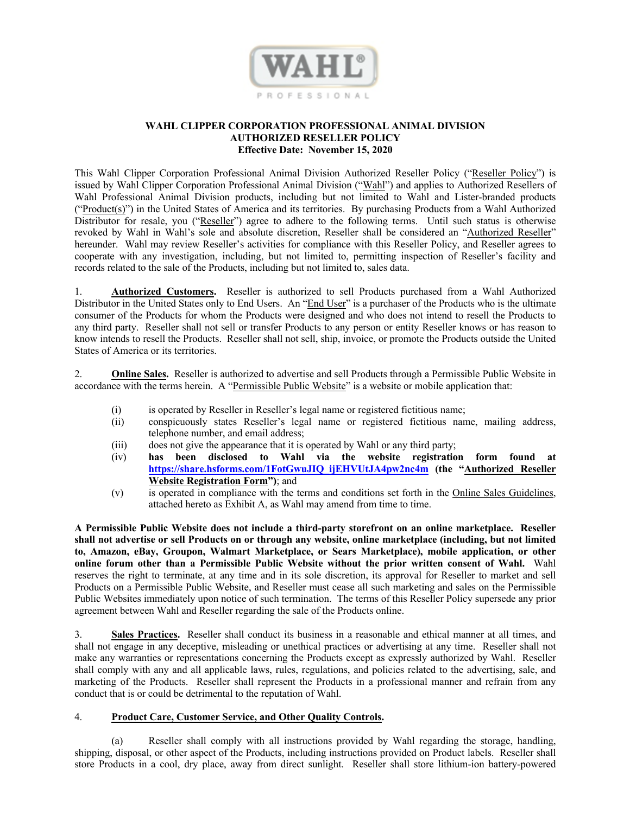

## **WAHL CLIPPER CORPORATION PROFESSIONAL ANIMAL DIVISION AUTHORIZED RESELLER POLICY Effective Date: November 15, 2020**

This Wahl Clipper Corporation Professional Animal Division Authorized Reseller Policy ("Reseller Policy") is issued by Wahl Clipper Corporation Professional Animal Division ("Wahl") and applies to Authorized Resellers of Wahl Professional Animal Division products, including but not limited to Wahl and Lister-branded products ("Product(s)") in the United States of America and its territories. By purchasing Products from a Wahl Authorized Distributor for resale, you ("Reseller") agree to adhere to the following terms. Until such status is otherwise revoked by Wahl in Wahl's sole and absolute discretion, Reseller shall be considered an "Authorized Reseller" hereunder. Wahl may review Reseller's activities for compliance with this Reseller Policy, and Reseller agrees to cooperate with any investigation, including, but not limited to, permitting inspection of Reseller's facility and records related to the sale of the Products, including but not limited to, sales data.

1. **Authorized Customers.** Reseller is authorized to sell Products purchased from a Wahl Authorized Distributor in the United States only to End Users. An "End User" is a purchaser of the Products who is the ultimate consumer of the Products for whom the Products were designed and who does not intend to resell the Products to any third party. Reseller shall not sell or transfer Products to any person or entity Reseller knows or has reason to know intends to resell the Products. Reseller shall not sell, ship, invoice, or promote the Products outside the United States of America or its territories.

2. **Online Sales.** Reseller is authorized to advertise and sell Products through a Permissible Public Website in accordance with the terms herein. A "Permissible Public Website" is a website or mobile application that:

- (i) is operated by Reseller in Reseller's legal name or registered fictitious name;
- (ii) conspicuously states Reseller's legal name or registered fictitious name, mailing address, telephone number, and email address;
- (iii) does not give the appearance that it is operated by Wahl or any third party;
- (iv) **has been disclosed to Wahl via the website registration form found at https://share.hsforms.com/1FotGwuJIQ\_ijEHVUtJA4pw2nc4m (the "Authorized Reseller Website Registration Form")**; and
- (v) is operated in compliance with the terms and conditions set forth in the Online Sales Guidelines, attached hereto as Exhibit A, as Wahl may amend from time to time.

**A Permissible Public Website does not include a third-party storefront on an online marketplace. Reseller shall not advertise or sell Products on or through any website, online marketplace (including, but not limited to, Amazon, eBay, Groupon, Walmart Marketplace, or Sears Marketplace), mobile application, or other online forum other than a Permissible Public Website without the prior written consent of Wahl.** Wahl reserves the right to terminate, at any time and in its sole discretion, its approval for Reseller to market and sell Products on a Permissible Public Website, and Reseller must cease all such marketing and sales on the Permissible Public Websites immediately upon notice of such termination. The terms of this Reseller Policy supersede any prior agreement between Wahl and Reseller regarding the sale of the Products online.

3. **Sales Practices.** Reseller shall conduct its business in a reasonable and ethical manner at all times, and shall not engage in any deceptive, misleading or unethical practices or advertising at any time. Reseller shall not make any warranties or representations concerning the Products except as expressly authorized by Wahl. Reseller shall comply with any and all applicable laws, rules, regulations, and policies related to the advertising, sale, and marketing of the Products. Reseller shall represent the Products in a professional manner and refrain from any conduct that is or could be detrimental to the reputation of Wahl.

## 4. **Product Care, Customer Service, and Other Quality Controls.**

(a) Reseller shall comply with all instructions provided by Wahl regarding the storage, handling, shipping, disposal, or other aspect of the Products, including instructions provided on Product labels. Reseller shall store Products in a cool, dry place, away from direct sunlight. Reseller shall store lithium-ion battery-powered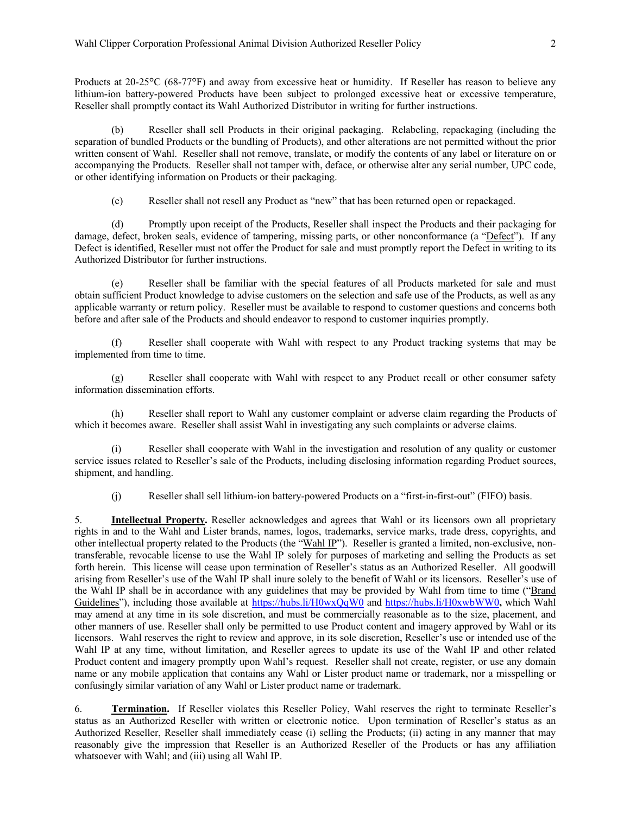Products at 20-25<sup>o</sup>C (68-77<sup>o</sup>F) and away from excessive heat or humidity. If Reseller has reason to believe any lithium-ion battery-powered Products have been subject to prolonged excessive heat or excessive temperature, Reseller shall promptly contact its Wahl Authorized Distributor in writing for further instructions.

Reseller shall sell Products in their original packaging. Relabeling, repackaging (including the separation of bundled Products or the bundling of Products), and other alterations are not permitted without the prior written consent of Wahl. Reseller shall not remove, translate, or modify the contents of any label or literature on or accompanying the Products. Reseller shall not tamper with, deface, or otherwise alter any serial number, UPC code, or other identifying information on Products or their packaging.

(c) Reseller shall not resell any Product as "new" that has been returned open or repackaged.

(d) Promptly upon receipt of the Products, Reseller shall inspect the Products and their packaging for damage, defect, broken seals, evidence of tampering, missing parts, or other nonconformance (a "Defect"). If any Defect is identified, Reseller must not offer the Product for sale and must promptly report the Defect in writing to its Authorized Distributor for further instructions.

(e) Reseller shall be familiar with the special features of all Products marketed for sale and must obtain sufficient Product knowledge to advise customers on the selection and safe use of the Products, as well as any applicable warranty or return policy. Reseller must be available to respond to customer questions and concerns both before and after sale of the Products and should endeavor to respond to customer inquiries promptly.

(f) Reseller shall cooperate with Wahl with respect to any Product tracking systems that may be implemented from time to time.

(g) Reseller shall cooperate with Wahl with respect to any Product recall or other consumer safety information dissemination efforts.

(h) Reseller shall report to Wahl any customer complaint or adverse claim regarding the Products of which it becomes aware. Reseller shall assist Wahl in investigating any such complaints or adverse claims.

(i) Reseller shall cooperate with Wahl in the investigation and resolution of any quality or customer service issues related to Reseller's sale of the Products, including disclosing information regarding Product sources, shipment, and handling.

(j) Reseller shall sell lithium-ion battery-powered Products on a "first-in-first-out" (FIFO) basis.

5. **Intellectual Property.** Reseller acknowledges and agrees that Wahl or its licensors own all proprietary rights in and to the Wahl and Lister brands, names, logos, trademarks, service marks, trade dress, copyrights, and other intellectual property related to the Products (the "Wahl IP"). Reseller is granted a limited, non-exclusive, nontransferable, revocable license to use the Wahl IP solely for purposes of marketing and selling the Products as set forth herein. This license will cease upon termination of Reseller's status as an Authorized Reseller. All goodwill arising from Reseller's use of the Wahl IP shall inure solely to the benefit of Wahl or its licensors. Reseller's use of the Wahl IP shall be in accordance with any guidelines that may be provided by Wahl from time to time ("Brand Guidelines"), including those available at https://hubs.li/H0wxQqW0 and https://hubs.li/H0xwbWW0, which Wahl may amend at any time in its sole discretion, and must be commercially reasonable as to the size, placement, and other manners of use. Reseller shall only be permitted to use Product content and imagery approved by Wahl or its licensors. Wahl reserves the right to review and approve, in its sole discretion, Reseller's use or intended use of the Wahl IP at any time, without limitation, and Reseller agrees to update its use of the Wahl IP and other related Product content and imagery promptly upon Wahl's request. Reseller shall not create, register, or use any domain name or any mobile application that contains any Wahl or Lister product name or trademark, nor a misspelling or confusingly similar variation of any Wahl or Lister product name or trademark.

6. **Termination.** If Reseller violates this Reseller Policy, Wahl reserves the right to terminate Reseller's status as an Authorized Reseller with written or electronic notice. Upon termination of Reseller's status as an Authorized Reseller, Reseller shall immediately cease (i) selling the Products; (ii) acting in any manner that may reasonably give the impression that Reseller is an Authorized Reseller of the Products or has any affiliation whatsoever with Wahl; and (iii) using all Wahl IP.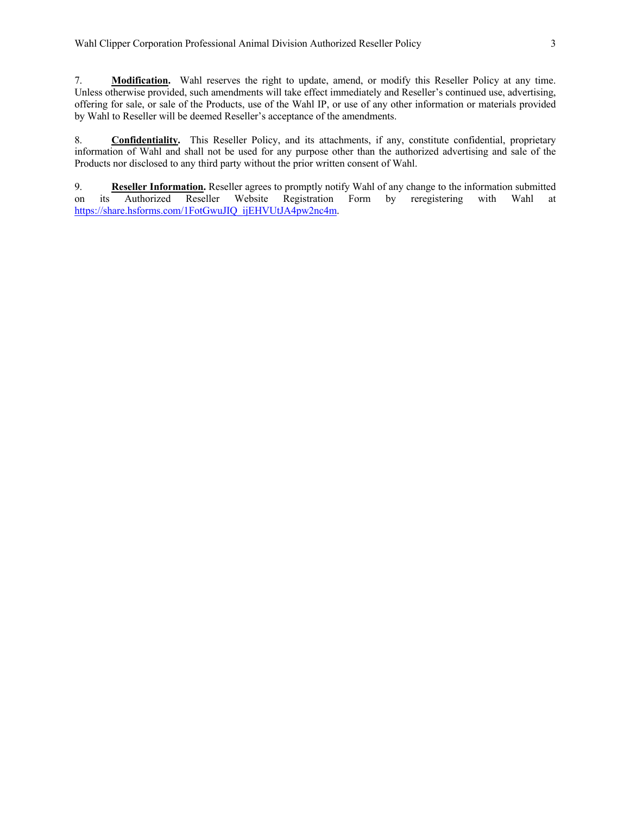7. **Modification.** Wahl reserves the right to update, amend, or modify this Reseller Policy at any time. Unless otherwise provided, such amendments will take effect immediately and Reseller's continued use, advertising, offering for sale, or sale of the Products, use of the Wahl IP, or use of any other information or materials provided by Wahl to Reseller will be deemed Reseller's acceptance of the amendments.

8. **Confidentiality.** This Reseller Policy, and its attachments, if any, constitute confidential, proprietary information of Wahl and shall not be used for any purpose other than the authorized advertising and sale of the Products nor disclosed to any third party without the prior written consent of Wahl.

9. **Reseller Information.** Reseller agrees to promptly notify Wahl of any change to the information submitted on its Authorized Reseller Website Registration Form by reregistering with Wahl at https://share.hsforms.com/1FotGwuJIQ\_ijEHVUtJA4pw2nc4m.